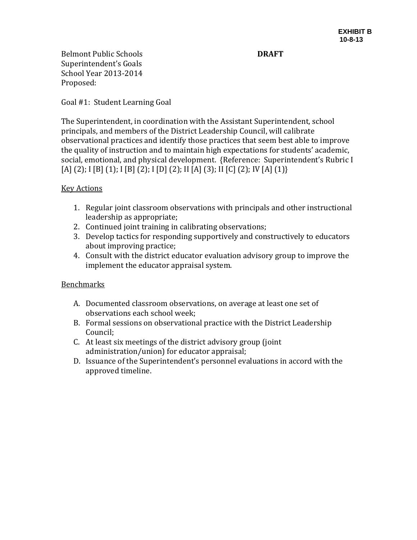Belmont Public Schools **DRAFT** Superintendent's Goals School Year 2013-2014 Proposed:

Goal #1: Student Learning Goal

The Superintendent, in coordination with the Assistant Superintendent, school principals, and members of the District Leadership Council, will calibrate observational practices and identify those practices that seem best able to improve the quality of instruction and to maintain high expectations for students' academic, social, emotional, and physical development. {Reference: Superintendent's Rubric I [A] (2); I [B] (1); I [B] (2); I [D] (2); II [A] (3); II [C] (2); IV [A] (1)}

## Key Actions

- 1. Regular joint classroom observations with principals and other instructional leadership as appropriate;
- 2. Continued joint training in calibrating observations;
- 3. Develop tactics for responding supportively and constructively to educators about improving practice;
- 4. Consult with the district educator evaluation advisory group to improve the implement the educator appraisal system.

## Benchmarks

- A. Documented classroom observations, on average at least one set of observations each school week;
- B. Formal sessions on observational practice with the District Leadership Council;
- C. At least six meetings of the district advisory group (joint administration/union) for educator appraisal;
- D. Issuance of the Superintendent's personnel evaluations in accord with the approved timeline.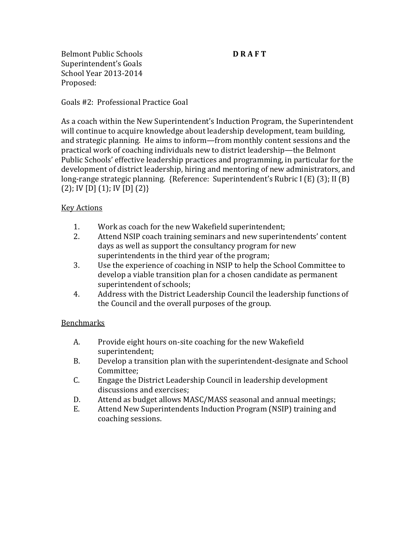Belmont Public Schools **D RAFT** Superintendent's Goals School Year 2013-2014 Proposed:

Goals #2: Professional Practice Goal

As a coach within the New Superintendent's Induction Program, the Superintendent will continue to acquire knowledge about leadership development, team building, and strategic planning. He aims to inform—from monthly content sessions and the practical work of coaching individuals new to district leadership—the Belmont Public Schools' effective leadership practices and programming, in particular for the development of district leadership, hiring and mentoring of new administrators, and long-range strategic planning. {Reference: Superintendent's Rubric I (E) (3); II (B) (2); IV [D] (1); IV [D] (2)}

# Key Actions

- 1. Work as coach for the new Wakefield superintendent;
- 2. Attend NSIP coach training seminars and new superintendents' content days as well as support the consultancy program for new superintendents in the third year of the program;
- 3. Use the experience of coaching in NSIP to help the School Committee to develop a viable transition plan for a chosen candidate as permanent superintendent of schools;
- 4. Address with the District Leadership Council the leadership functions of the Council and the overall purposes of the group.

## Benchmarks

- A. Provide eight hours on-site coaching for the new Wakefield superintendent;
- B. Develop a transition plan with the superintendent-designate and School Committee;
- C. Engage the District Leadership Council in leadership development discussions and exercises;
- D. Attend as budget allows MASC/MASS seasonal and annual meetings;
- E. Attend New Superintendents Induction Program (NSIP) training and coaching sessions.